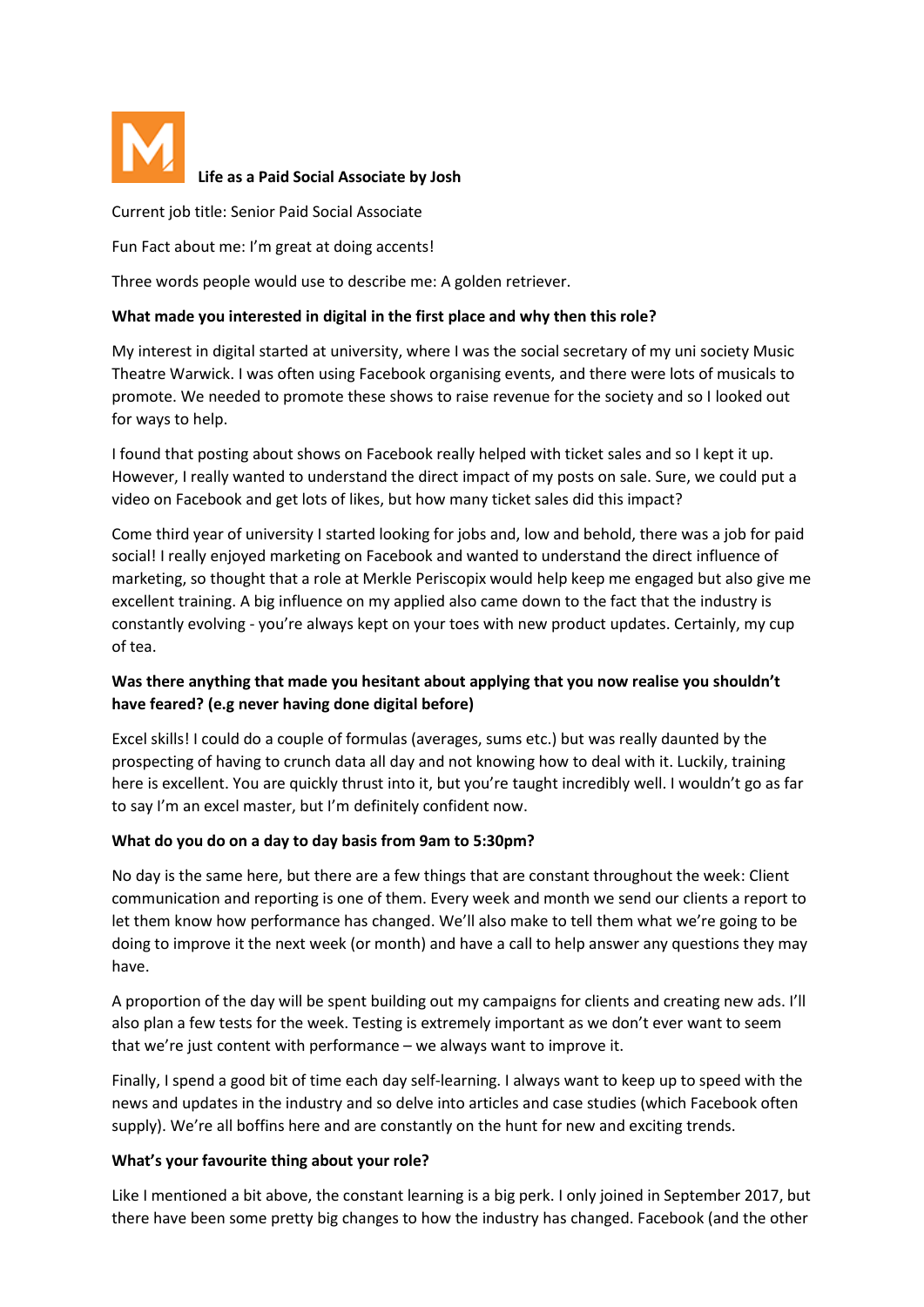

# **Life as a Paid Social Associate by Josh**

Current job title: Senior Paid Social Associate

Fun Fact about me: I'm great at doing accents!

Three words people would use to describe me: A golden retriever.

### **What made you interested in digital in the first place and why then this role?**

My interest in digital started at university, where I was the social secretary of my uni society Music Theatre Warwick. I was often using Facebook organising events, and there were lots of musicals to promote. We needed to promote these shows to raise revenue for the society and so I looked out for ways to help.

I found that posting about shows on Facebook really helped with ticket sales and so I kept it up. However, I really wanted to understand the direct impact of my posts on sale. Sure, we could put a video on Facebook and get lots of likes, but how many ticket sales did this impact?

Come third year of university I started looking for jobs and, low and behold, there was a job for paid social! I really enjoyed marketing on Facebook and wanted to understand the direct influence of marketing, so thought that a role at Merkle Periscopix would help keep me engaged but also give me excellent training. A big influence on my applied also came down to the fact that the industry is constantly evolving - you're always kept on your toes with new product updates. Certainly, my cup of tea.

# **Was there anything that made you hesitant about applying that you now realise you shouldn't have feared? (e.g never having done digital before)**

Excel skills! I could do a couple of formulas (averages, sums etc.) but was really daunted by the prospecting of having to crunch data all day and not knowing how to deal with it. Luckily, training here is excellent. You are quickly thrust into it, but you're taught incredibly well. I wouldn't go as far to say I'm an excel master, but I'm definitely confident now.

## **What do you do on a day to day basis from 9am to 5:30pm?**

No day is the same here, but there are a few things that are constant throughout the week: Client communication and reporting is one of them. Every week and month we send our clients a report to let them know how performance has changed. We'll also make to tell them what we're going to be doing to improve it the next week (or month) and have a call to help answer any questions they may have.

A proportion of the day will be spent building out my campaigns for clients and creating new ads. I'll also plan a few tests for the week. Testing is extremely important as we don't ever want to seem that we're just content with performance – we always want to improve it.

Finally, I spend a good bit of time each day self-learning. I always want to keep up to speed with the news and updates in the industry and so delve into articles and case studies (which Facebook often supply). We're all boffins here and are constantly on the hunt for new and exciting trends.

## **What's your favourite thing about your role?**

Like I mentioned a bit above, the constant learning is a big perk. I only joined in September 2017, but there have been some pretty big changes to how the industry has changed. Facebook (and the other